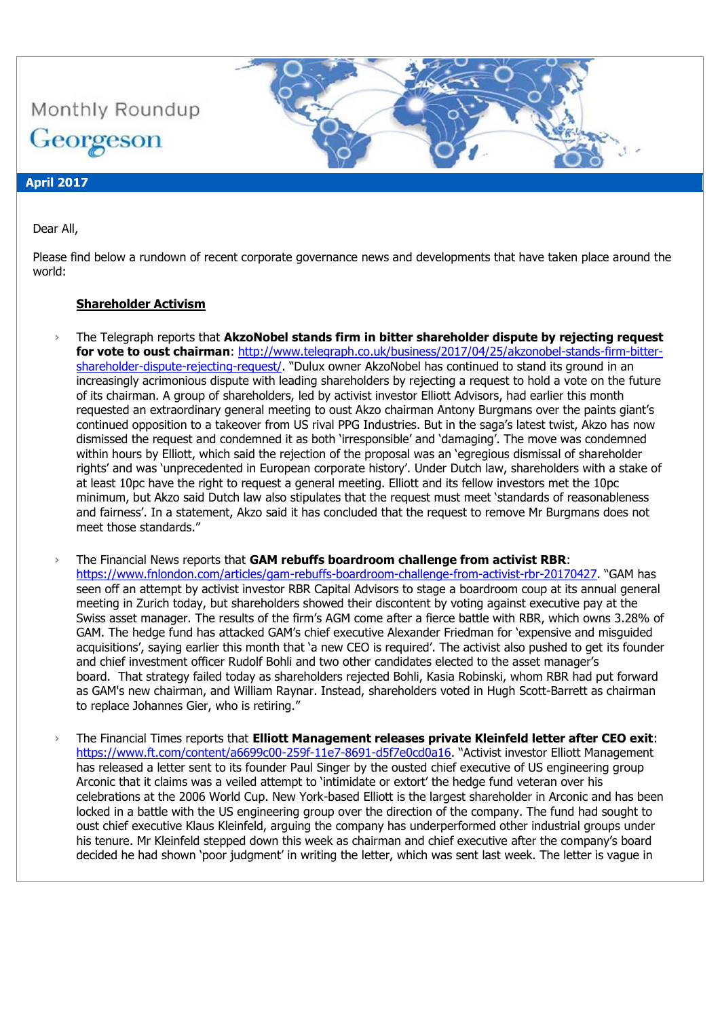Monthly Roundup Georgeson

## **April 2017**

### Dear All,

Please find below a rundown of recent corporate governance news and developments that have taken place around the world:

### **Shareholder Activism**

The Telegraph reports that AkzoNobel stands firm in bitter shareholder dispute by rejecting request **for vote to oust chairman**: [http://www.telegraph.co.uk/business/2017/04/25/akzonobel-stands-firm-bitter](http://www.telegraph.co.uk/business/2017/04/25/akzonobel-stands-firm-bitter-shareholder-dispute-rejecting-request/)[shareholder-dispute-rejecting-request/](http://www.telegraph.co.uk/business/2017/04/25/akzonobel-stands-firm-bitter-shareholder-dispute-rejecting-request/). "Dulux owner AkzoNobel has continued to stand its ground in an increasingly acrimonious dispute with leading shareholders by rejecting a request to hold a vote on the future of its chairman. A group of shareholders, led by activist investor Elliott Advisors, had earlier this month requested an extraordinary general meeting to oust Akzo chairman Antony Burgmans over the paints giant's continued opposition to a takeover from US rival PPG Industries. But in the saga's latest twist, Akzo has now dismissed the request and condemned it as both 'irresponsible' and 'damaging'. The move was condemned within hours by Elliott, which said the rejection of the proposal was an 'egregious dismissal of shareholder rights' and was 'unprecedented in European corporate history'. Under Dutch law, shareholders with a stake of at least 10pc have the right to request a general meeting. Elliott and its fellow investors met the 10pc minimum, but Akzo said Dutch law also stipulates that the request must meet 'standards of reasonableness and fairness'. In a statement, Akzo said it has concluded that the request to remove Mr Burgmans does not meet those standards."

› The Financial News reports that **GAM rebuffs boardroom challenge from activist RBR**: <https://www.fnlondon.com/articles/gam-rebuffs-boardroom-challenge-from-activist-rbr-20170427>. "GAM has seen off an attempt by activist investor RBR Capital Advisors to stage a boardroom coup at its annual general meeting in Zurich today, but shareholders showed their discontent by voting against executive pay at the Swiss asset manager. The results of the firm's AGM come after a fierce battle with RBR, which owns 3.28% of GAM. The hedge fund has attacked GAM's chief executive Alexander Friedman for 'expensive and misguided acquisitions', saying earlier this month that 'a new CEO is required'. The activist also pushed to get its founder and chief investment officer Rudolf Bohli and two other candidates elected to the asset manager's board. That strategy failed today as shareholders rejected Bohli, Kasia Robinski, whom RBR had put forward as GAM's new chairman, and William Raynar. Instead, shareholders voted in Hugh Scott-Barrett as chairman to replace Johannes Gier, who is retiring."

› The Financial Times reports that **Elliott Management releases private Kleinfeld letter after CEO exit**: <https://www.ft.com/content/a6699c00-259f-11e7-8691-d5f7e0cd0a16>. "Activist investor Elliott Management has released a letter sent to its founder Paul Singer by the ousted chief executive of US engineering group Arconic that it claims was a veiled attempt to 'intimidate or extort' the hedge fund veteran over his celebrations at the 2006 World Cup. New York-based Elliott is the largest shareholder in Arconic and has been locked in a battle with the US engineering group over the direction of the company. The fund had sought to oust chief executive Klaus Kleinfeld, arguing the company has underperformed other industrial groups under his tenure. Mr Kleinfeld stepped down this week as chairman and chief executive after the company's board decided he had shown 'poor judgment' in writing the letter, which was sent last week. The letter is vague in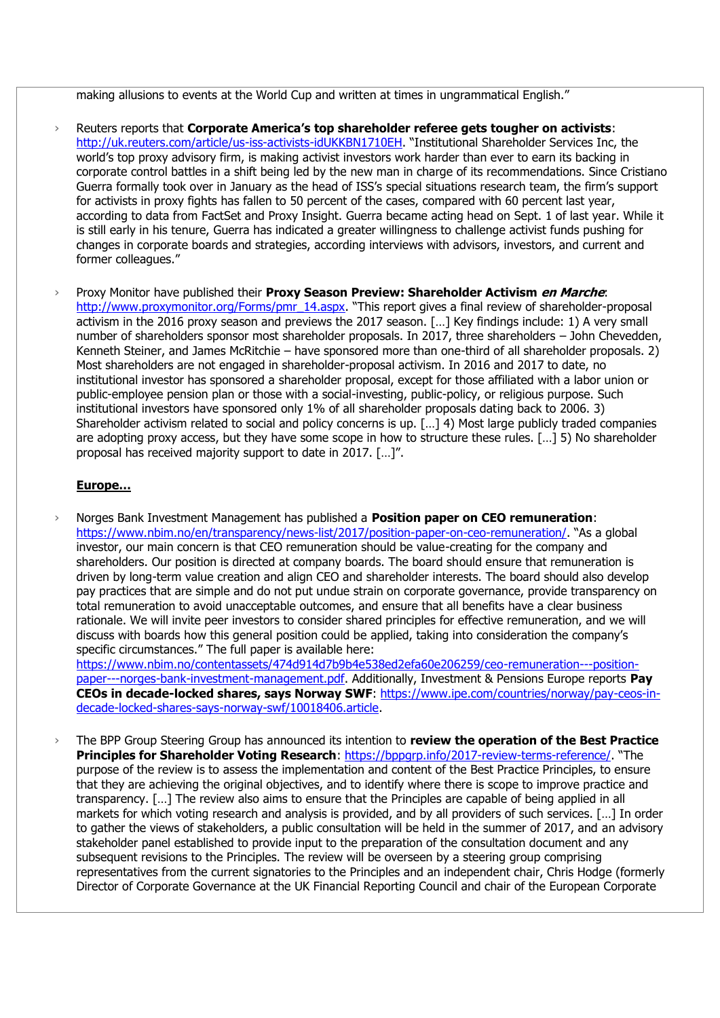making allusions to events at the World Cup and written at times in ungrammatical English."

- › Reuters reports that **Corporate America's top shareholder referee gets tougher on activists**: <http://uk.reuters.com/article/us-iss-activists-idUKKBN1710EH>. "Institutional Shareholder Services Inc, the world's top proxy advisory firm, is making activist investors work harder than ever to earn its backing in corporate control battles in a shift being led by the new man in charge of its recommendations. Since Cristiano Guerra formally took over in January as the head of ISS's special situations research team, the firm's support for activists in proxy fights has fallen to 50 percent of the cases, compared with 60 percent last year, according to data from FactSet and Proxy Insight. Guerra became acting head on Sept. 1 of last year. While it is still early in his tenure, Guerra has indicated a greater willingness to challenge activist funds pushing for changes in corporate boards and strategies, according interviews with advisors, investors, and current and former colleagues."
- › Proxy Monitor have published their **Proxy Season Preview: Shareholder Activism en Marche**: [http://www.proxymonitor.org/Forms/pmr\\_14.aspx.](http://www.proxymonitor.org/Forms/pmr_14.aspx) "This report gives a final review of shareholder-proposal activism in the 2016 proxy season and previews the 2017 season. […] Key findings include: 1) A very small number of shareholders sponsor most shareholder proposals. In 2017, three shareholders – John Chevedden, Kenneth Steiner, and James McRitchie – have sponsored more than one-third of all shareholder proposals. 2) Most shareholders are not engaged in shareholder-proposal activism. In 2016 and 2017 to date, no institutional investor has sponsored a shareholder proposal, except for those affiliated with a labor union or public-employee pension plan or those with a social-investing, public-policy, or religious purpose. Such institutional investors have sponsored only 1% of all shareholder proposals dating back to 2006. 3) Shareholder activism related to social and policy concerns is up. […] 4) Most large publicly traded companies are adopting proxy access, but they have some scope in how to structure these rules. […] 5) No shareholder proposal has received majority support to date in 2017. […]".

## **Europe…**

› Norges Bank Investment Management has published a **Position paper on CEO remuneration**: <https://www.nbim.no/en/transparency/news-list/2017/position-paper-on-ceo-remuneration/>. "As a global investor, our main concern is that CEO remuneration should be value-creating for the company and shareholders. Our position is directed at company boards. The board should ensure that remuneration is driven by long-term value creation and align CEO and shareholder interests. The board should also develop pay practices that are simple and do not put undue strain on corporate governance, provide transparency on total remuneration to avoid unacceptable outcomes, and ensure that all benefits have a clear business rationale. We will invite peer investors to consider shared principles for effective remuneration, and we will discuss with boards how this general position could be applied, taking into consideration the company's specific circumstances." The full paper is available here:

[https://www.nbim.no/contentassets/474d914d7b9b4e538ed2efa60e206259/ceo-remuneration---position](https://www.nbim.no/contentassets/474d914d7b9b4e538ed2efa60e206259/ceo-remuneration---position-paper---norges-bank-investment-management.pdf)[paper---norges-bank-investment-management.pdf.](https://www.nbim.no/contentassets/474d914d7b9b4e538ed2efa60e206259/ceo-remuneration---position-paper---norges-bank-investment-management.pdf) Additionally, Investment & Pensions Europe reports **Pay CEOs in decade-locked shares, says Norway SWF**: [https://www.ipe.com/countries/norway/pay-ceos-in](https://www.ipe.com/countries/norway/pay-ceos-in-decade-locked-shares-says-norway-swf/10018406.article)[decade-locked-shares-says-norway-swf/10018406.article.](https://www.ipe.com/countries/norway/pay-ceos-in-decade-locked-shares-says-norway-swf/10018406.article)

› The BPP Group Steering Group has announced its intention to **review the operation of the Best Practice Principles for Shareholder Voting Research:<https://bppgrp.info/2017-review-terms-reference/>. "The** purpose of the review is to assess the implementation and content of the Best Practice Principles, to ensure that they are achieving the original objectives, and to identify where there is scope to improve practice and transparency. […] The review also aims to ensure that the Principles are capable of being applied in all markets for which voting research and analysis is provided, and by all providers of such services. […] In order to gather the views of stakeholders, a public consultation will be held in the summer of 2017, and an advisory stakeholder panel established to provide input to the preparation of the consultation document and any subsequent revisions to the Principles. The review will be overseen by a steering group comprising representatives from the current signatories to the Principles and an independent chair, Chris Hodge (formerly Director of Corporate Governance at the UK Financial Reporting Council and chair of the European Corporate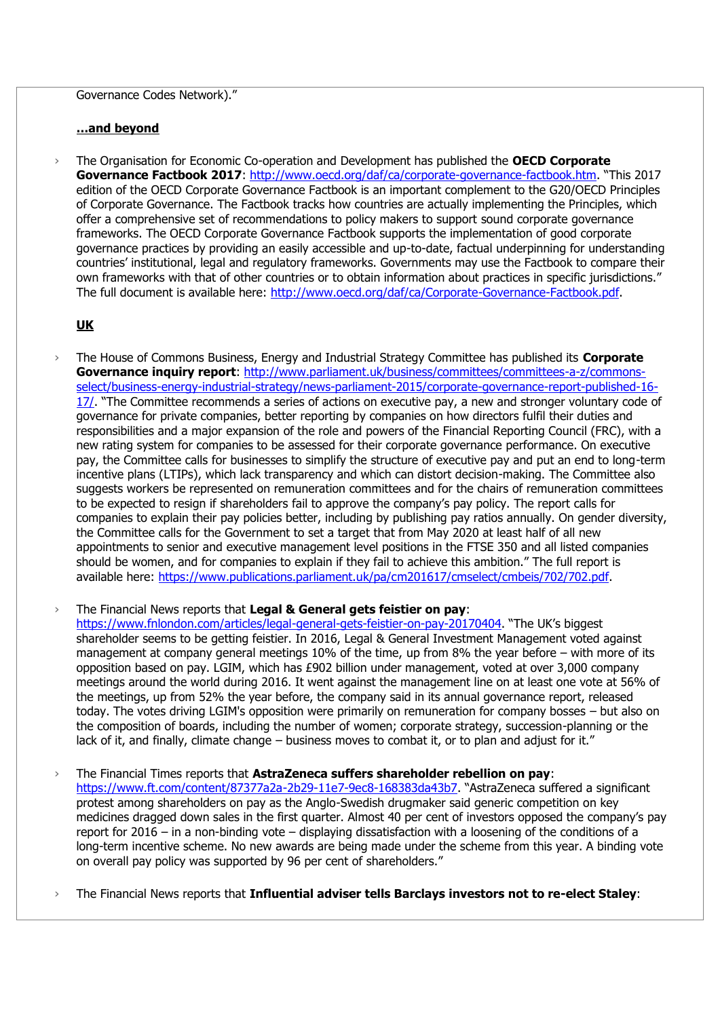### Governance Codes Network)."

### **…and beyond**

› The Organisation for Economic Co-operation and Development has published the **OECD Corporate Governance Factbook 2017**:<http://www.oecd.org/daf/ca/corporate-governance-factbook.htm>. "This 2017 edition of the OECD Corporate Governance Factbook is an important complement to the G20/OECD Principles of Corporate Governance. The Factbook tracks how countries are actually implementing the Principles, which offer a comprehensive set of recommendations to policy makers to support sound corporate governance frameworks. The OECD Corporate Governance Factbook supports the implementation of good corporate governance practices by providing an easily accessible and up-to-date, factual underpinning for understanding countries' institutional, legal and regulatory frameworks. Governments may use the Factbook to compare their own frameworks with that of other countries or to obtain information about practices in specific jurisdictions." The full document is available here: [http://www.oecd.org/daf/ca/Corporate-Governance-Factbook.pdf.](http://www.oecd.org/daf/ca/Corporate-Governance-Factbook.pdf)

## **UK**

› The House of Commons Business, Energy and Industrial Strategy Committee has published its **Corporate**  Governance inquiry report: [http://www.parliament.uk/business/committees/committees-a-z/commons](http://www.parliament.uk/business/committees/committees-a-z/commons-select/business-energy-industrial-strategy/news-parliament-2015/corporate-governance-report-published-16-17/)[select/business-energy-industrial-strategy/news-parliament-2015/corporate-governance-report-published-16-](http://www.parliament.uk/business/committees/committees-a-z/commons-select/business-energy-industrial-strategy/news-parliament-2015/corporate-governance-report-published-16-17/) [17/](http://www.parliament.uk/business/committees/committees-a-z/commons-select/business-energy-industrial-strategy/news-parliament-2015/corporate-governance-report-published-16-17/). "The Committee recommends a series of actions on executive pay, a new and stronger voluntary code of governance for private companies, better reporting by companies on how directors fulfil their duties and responsibilities and a major expansion of the role and powers of the Financial Reporting Council (FRC), with a new rating system for companies to be assessed for their corporate governance performance. On executive pay, the Committee calls for businesses to simplify the structure of executive pay and put an end to long-term incentive plans (LTIPs), which lack transparency and which can distort decision-making. The Committee also suggests workers be represented on remuneration committees and for the chairs of remuneration committees to be expected to resign if shareholders fail to approve the company's pay policy. The report calls for companies to explain their pay policies better, including by publishing pay ratios annually. On gender diversity, the Committee calls for the Government to set a target that from May 2020 at least half of all new appointments to senior and executive management level positions in the FTSE 350 and all listed companies should be women, and for companies to explain if they fail to achieve this ambition." The full report is available here: [https://www.publications.parliament.uk/pa/cm201617/cmselect/cmbeis/702/702.pdf.](https://www.publications.parliament.uk/pa/cm201617/cmselect/cmbeis/702/702.pdf)

### › The Financial News reports that **Legal & General gets feistier on pay**:

<https://www.fnlondon.com/articles/legal-general-gets-feistier-on-pay-20170404>. "The UK's biggest shareholder seems to be getting feistier. In 2016, Legal & General Investment Management voted against management at company general meetings 10% of the time, up from 8% the year before – with more of its opposition based on pay. LGIM, which has £902 billion under management, voted at over 3,000 company meetings around the world during 2016. It went against the management line on at least one vote at 56% of the meetings, up from 52% the year before, the company said in its annual governance report, released today. The votes driving LGIM's opposition were primarily on remuneration for company bosses – but also on the composition of boards, including the number of women; corporate strategy, succession-planning or the lack of it, and finally, climate change – business moves to combat it, or to plan and adjust for it."

› The Financial Times reports that **AstraZeneca suffers shareholder rebellion on pay**: <https://www.ft.com/content/87377a2a-2b29-11e7-9ec8-168383da43b7>. "AstraZeneca suffered a significant protest among shareholders on pay as the Anglo-Swedish drugmaker said generic competition on key medicines dragged down sales in the first quarter. Almost 40 per cent of investors opposed the company's pay report for 2016 – in a non-binding vote – displaying dissatisfaction with a loosening of the conditions of a long-term incentive scheme. No new awards are being made under the scheme from this year. A binding vote on overall pay policy was supported by 96 per cent of shareholders."

› The Financial News reports that **Influential adviser tells Barclays investors not to re-elect Staley**: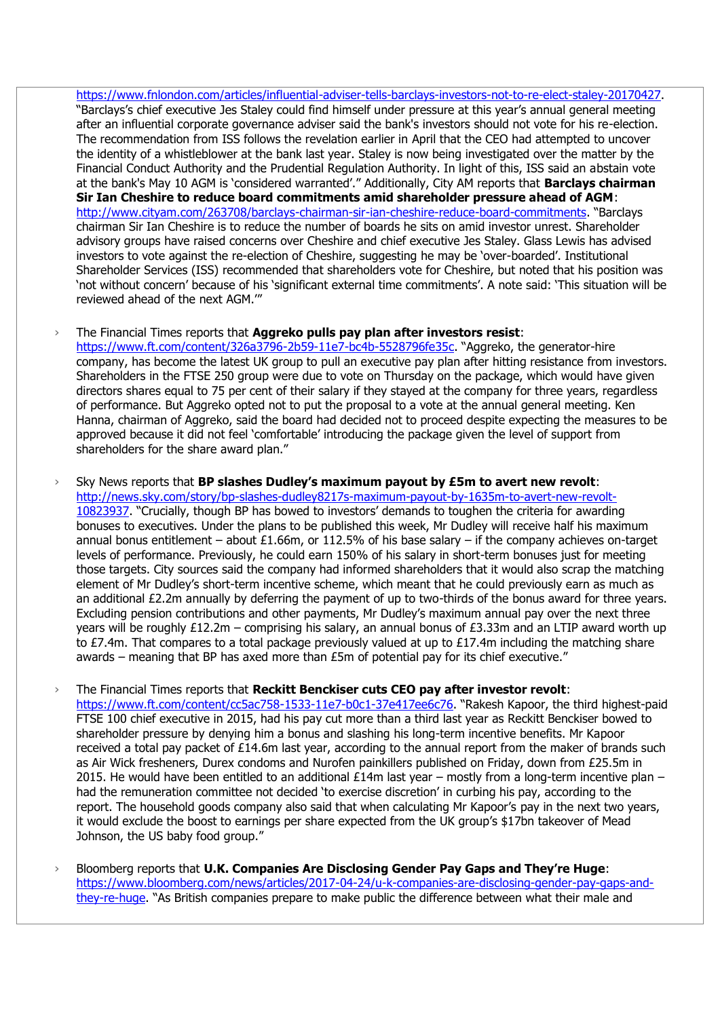[https://www.fnlondon.com/articles/influential-adviser-tells-barclays-investors-not-to-re-elect-staley-20170427.](https://www.fnlondon.com/articles/influential-adviser-tells-barclays-investors-not-to-re-elect-staley-20170427) "Barclays's chief executive Jes Staley could find himself under pressure at this year's annual general meeting after an influential corporate governance adviser said the bank's investors should not vote for his re-election. The recommendation from ISS follows the revelation earlier in April that the CEO had attempted to uncover the identity of a whistleblower at the bank last year. Staley is now being investigated over the matter by the Financial Conduct Authority and the Prudential Regulation Authority. In light of this, ISS said an abstain vote at the bank's May 10 AGM is 'considered warranted'." Additionally, City AM reports that **Barclays chairman Sir Ian Cheshire to reduce board commitments amid shareholder pressure ahead of AGM**: <http://www.cityam.com/263708/barclays-chairman-sir-ian-cheshire-reduce-board-commitments>. "Barclays chairman Sir Ian Cheshire is to reduce the number of boards he sits on amid investor unrest. Shareholder advisory groups have raised concerns over Cheshire and chief executive Jes Staley. Glass Lewis has advised investors to vote against the re-election of Cheshire, suggesting he may be 'over-boarded'. Institutional Shareholder Services (ISS) recommended that shareholders vote for Cheshire, but noted that his position was 'not without concern' because of his 'significant external time commitments'. A note said: 'This situation will be reviewed ahead of the next AGM.'"

### › The Financial Times reports that **Aggreko pulls pay plan after investors resist**:

<https://www.ft.com/content/326a3796-2b59-11e7-bc4b-5528796fe35c></u>. "Aggreko, the generator-hire company, has become the latest UK group to pull an executive pay plan after hitting resistance from investors. Shareholders in the FTSE 250 group were due to vote on Thursday on the package, which would have given directors shares equal to 75 per cent of their salary if they stayed at the company for three years, regardless of performance. But Aggreko opted not to put the proposal to a vote at the annual general meeting. Ken Hanna, chairman of Aggreko, said the board had decided not to proceed despite expecting the measures to be approved because it did not feel 'comfortable' introducing the package given the level of support from shareholders for the share award plan."

› Sky News reports that **BP slashes Dudley's maximum payout by £5m to avert new revolt**: [http://news.sky.com/story/bp-slashes-dudley8217s-maximum-payout-by-1635m-to-avert-new-revolt-](http://news.sky.com/story/bp-slashes-dudley8217s-maximum-payout-by-1635m-to-avert-new-revolt-10823937)[10823937](http://news.sky.com/story/bp-slashes-dudley8217s-maximum-payout-by-1635m-to-avert-new-revolt-10823937). "Crucially, though BP has bowed to investors' demands to toughen the criteria for awarding bonuses to executives. Under the plans to be published this week, Mr Dudley will receive half his maximum annual bonus entitlement – about £1.66m, or 112.5% of his base salary – if the company achieves on-target levels of performance. Previously, he could earn 150% of his salary in short-term bonuses just for meeting those targets. City sources said the company had informed shareholders that it would also scrap the matching element of Mr Dudley's short-term incentive scheme, which meant that he could previously earn as much as an additional £2.2m annually by deferring the payment of up to two-thirds of the bonus award for three years. Excluding pension contributions and other payments, Mr Dudley's maximum annual pay over the next three years will be roughly £12.2m – comprising his salary, an annual bonus of £3.33m and an LTIP award worth up to  $E$ 7.4m. That compares to a total package previously valued at up to  $E$ 17.4m including the matching share awards – meaning that BP has axed more than £5m of potential pay for its chief executive."

› The Financial Times reports that **Reckitt Benckiser cuts CEO pay after investor revolt**: <https://www.ft.com/content/cc5ac758-1533-11e7-b0c1-37e417ee6c76>. "Rakesh Kapoor, the third highest-paid FTSE 100 chief executive in 2015, had his pay cut more than a third last year as Reckitt Benckiser bowed to shareholder pressure by denying him a bonus and slashing his long-term incentive benefits. Mr Kapoor received a total pay packet of £14.6m last year, according to the annual report from the maker of brands such as Air Wick fresheners, Durex condoms and Nurofen painkillers published on Friday, down from £25.5m in 2015. He would have been entitled to an additional £14m last year – mostly from a long-term incentive plan – had the remuneration committee not decided 'to exercise discretion' in curbing his pay, according to the report. The household goods company also said that when calculating Mr Kapoor's pay in the next two years, it would exclude the boost to earnings per share expected from the UK group's \$17bn takeover of Mead Johnson, the US baby food group."

› Bloomberg reports that **U.K. Companies Are Disclosing Gender Pay Gaps and They're Huge**: [https://www.bloomberg.com/news/articles/2017-04-24/u-k-companies-are-disclosing-gender-pay-gaps-and](https://www.bloomberg.com/news/articles/2017-04-24/u-k-companies-are-disclosing-gender-pay-gaps-and-they-re-huge)[they-re-huge](https://www.bloomberg.com/news/articles/2017-04-24/u-k-companies-are-disclosing-gender-pay-gaps-and-they-re-huge). "As British companies prepare to make public the difference between what their male and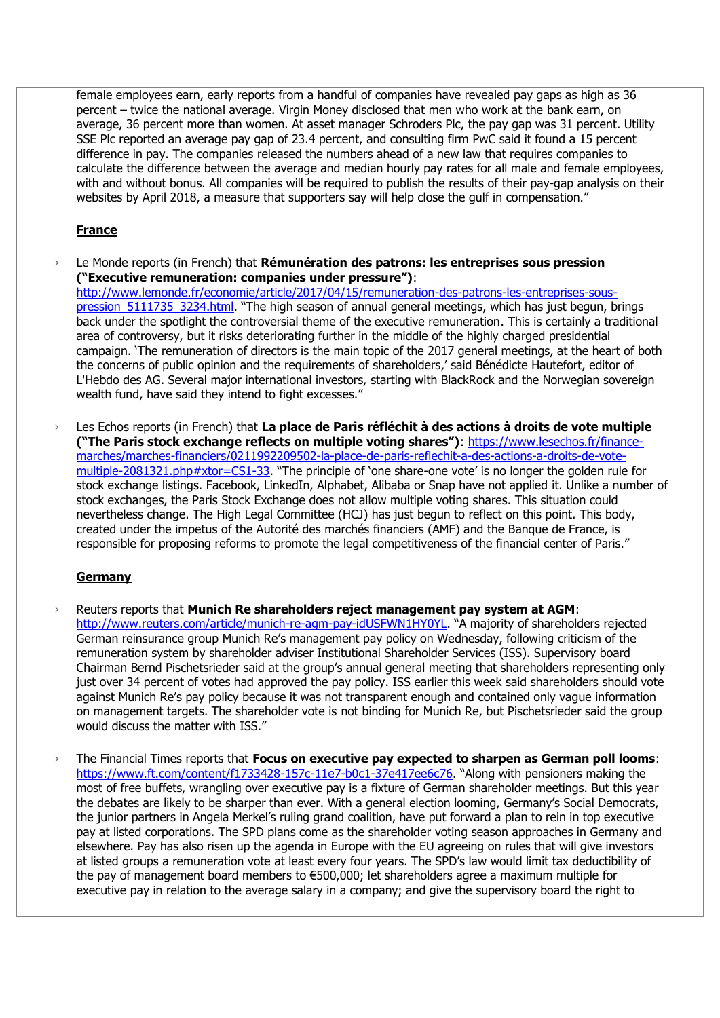female employees earn, early reports from a handful of companies have revealed pay gaps as high as 36 percent – twice the national average. Virgin Money disclosed that men who work at the bank earn, on average, 36 percent more than women. At asset manager Schroders Plc, the pay gap was 31 percent. Utility SSE Plc reported an average pay gap of 23.4 percent, and consulting firm PwC said it found a 15 percent difference in pay. The companies released the numbers ahead of a new law that requires companies to calculate the difference between the average and median hourly pay rates for all male and female employees, with and without bonus. All companies will be required to publish the results of their pay-gap analysis on their websites by April 2018, a measure that supporters say will help close the gulf in compensation."

# **France**

› Le Monde reports (in French) that **Rémunération des patrons: les entreprises sous pression ("Executive remuneration: companies under pressure")**:

[http://www.lemonde.fr/economie/article/2017/04/15/remuneration-des-patrons-les-entreprises-sous](http://www.lemonde.fr/economie/article/2017/04/15/remuneration-des-patrons-les-entreprises-sous-pression_5111735_3234.html)pression 5111735 3234.html. "The high season of annual general meetings, which has just begun, brings back under the spotlight the controversial theme of the executive remuneration. This is certainly a traditional area of controversy, but it risks deteriorating further in the middle of the highly charged presidential campaign. 'The remuneration of directors is the main topic of the 2017 general meetings, at the heart of both the concerns of public opinion and the requirements of shareholders,' said Bénédicte Hautefort, editor of L'Hebdo des AG. Several major international investors, starting with BlackRock and the Norwegian sovereign wealth fund, have said they intend to fight excesses."

› Les Echos reports (in French) that **La place de Paris réfléchit à des actions à droits de vote multiple ("The Paris stock exchange reflects on multiple voting shares")**: [https://www.lesechos.fr/finance](https://www.lesechos.fr/finance-marches/marches-financiers/0211992209502-la-place-de-paris-reflechit-a-des-actions-a-droits-de-vote-multiple-2081321.php#xtor=CS1-33)[marches/marches-financiers/0211992209502-la-place-de-paris-reflechit-a-des-actions-a-droits-de-vote](https://www.lesechos.fr/finance-marches/marches-financiers/0211992209502-la-place-de-paris-reflechit-a-des-actions-a-droits-de-vote-multiple-2081321.php#xtor=CS1-33)[multiple-2081321.php#xtor=CS1-33.](https://www.lesechos.fr/finance-marches/marches-financiers/0211992209502-la-place-de-paris-reflechit-a-des-actions-a-droits-de-vote-multiple-2081321.php#xtor=CS1-33) "The principle of 'one share-one vote' is no longer the golden rule for stock exchange listings. Facebook, LinkedIn, Alphabet, Alibaba or Snap have not applied it. Unlike a number of stock exchanges, the Paris Stock Exchange does not allow multiple voting shares. This situation could nevertheless change. The High Legal Committee (HCJ) has just begun to reflect on this point. This body, created under the impetus of the Autorité des marchés financiers (AMF) and the Banque de France, is responsible for proposing reforms to promote the legal competitiveness of the financial center of Paris."

# **Germany**

- › Reuters reports that **Munich Re shareholders reject management pay system at AGM**: <http://www.reuters.com/article/munich-re-agm-pay-idUSFWN1HY0YL>. "A majority of shareholders rejected German reinsurance group Munich Re's management pay policy on Wednesday, following criticism of the remuneration system by shareholder adviser Institutional Shareholder Services (ISS). Supervisory board Chairman Bernd Pischetsrieder said at the group's annual general meeting that shareholders representing only just over 34 percent of votes had approved the pay policy. ISS earlier this week said shareholders should vote against Munich Re's pay policy because it was not transparent enough and contained only vague information on management targets. The shareholder vote is not binding for Munich Re, but Pischetsrieder said the group would discuss the matter with ISS."
- › The Financial Times reports that **Focus on executive pay expected to sharpen as German poll looms**: <https://www.ft.com/content/f1733428-157c-11e7-b0c1-37e417ee6c76>. "Along with pensioners making the most of free buffets, wrangling over executive pay is a fixture of German shareholder meetings. But this year the debates are likely to be sharper than ever. With a general election looming, Germany's Social Democrats, the junior partners in Angela Merkel's ruling grand coalition, have put forward a plan to rein in top executive pay at listed corporations. The SPD plans come as the shareholder voting season approaches in Germany and elsewhere. Pay has also risen up the agenda in Europe with the EU agreeing on rules that will give investors at listed groups a remuneration vote at least every four years. The SPD's law would limit tax deductibility of the pay of management board members to €500,000; let shareholders agree a maximum multiple for executive pay in relation to the average salary in a company; and give the supervisory board the right to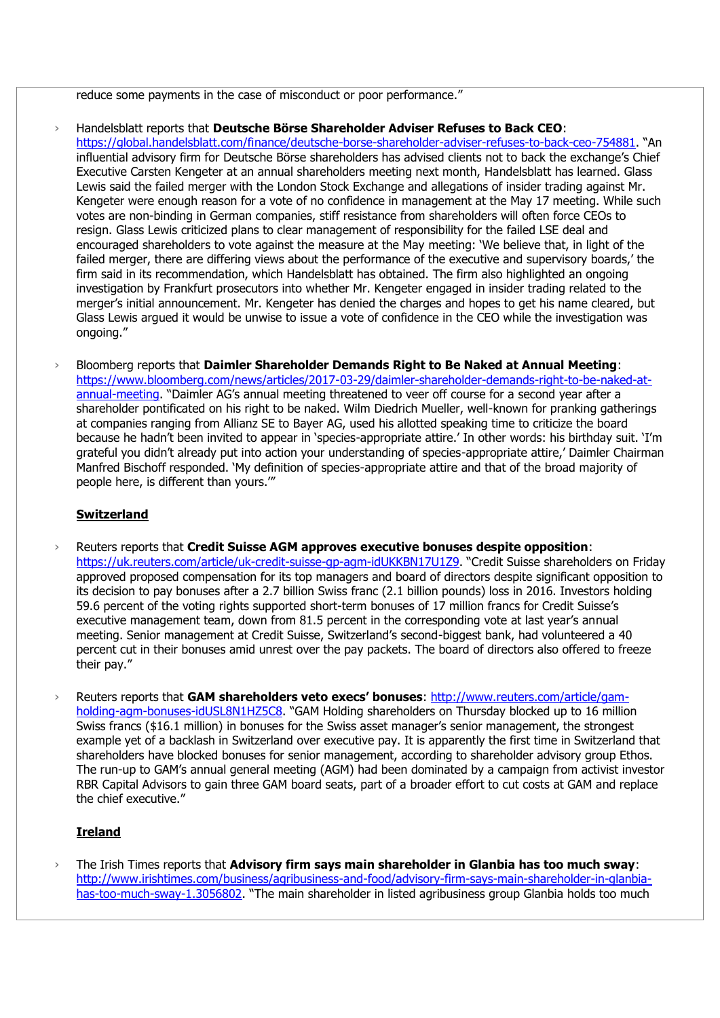reduce some payments in the case of misconduct or poor performance."

- › Handelsblatt reports that **Deutsche Börse Shareholder Adviser Refuses to Back CEO**: <https://global.handelsblatt.com/finance/deutsche-borse-shareholder-adviser-refuses-to-back-ceo-754881>. "An influential advisory firm for Deutsche Börse shareholders has advised clients not to back the exchange's Chief Executive Carsten Kengeter at an annual shareholders meeting next month, Handelsblatt has learned. Glass Lewis said the failed merger with the London Stock Exchange and allegations of insider trading against Mr. Kengeter were enough reason for a vote of no confidence in management at the May 17 meeting. While such votes are non-binding in German companies, stiff resistance from shareholders will often force CEOs to resign. Glass Lewis criticized plans to clear management of responsibility for the failed LSE deal and encouraged shareholders to vote against the measure at the May meeting: 'We believe that, in light of the failed merger, there are differing views about the performance of the executive and supervisory boards,' the firm said in its recommendation, which Handelsblatt has obtained. The firm also highlighted an ongoing investigation by Frankfurt prosecutors into whether Mr. Kengeter engaged in insider trading related to the merger's initial announcement. Mr. Kengeter has denied the charges and hopes to get his name cleared, but Glass Lewis argued it would be unwise to issue a vote of confidence in the CEO while the investigation was ongoing."
- › Bloomberg reports that **Daimler Shareholder Demands Right to Be Naked at Annual Meeting**: [https://www.bloomberg.com/news/articles/2017-03-29/daimler-shareholder-demands-right-to-be-naked-at](https://www.bloomberg.com/news/articles/2017-03-29/daimler-shareholder-demands-right-to-be-naked-at-annual-meeting)[annual-meeting](https://www.bloomberg.com/news/articles/2017-03-29/daimler-shareholder-demands-right-to-be-naked-at-annual-meeting). "Daimler AG's annual meeting threatened to veer off course for a second year after a shareholder pontificated on his right to be naked. Wilm Diedrich Mueller, well-known for pranking gatherings at companies ranging from Allianz SE to Bayer AG, used his allotted speaking time to criticize the board because he hadn't been invited to appear in 'species-appropriate attire.' In other words: his birthday suit. 'I'm grateful you didn't already put into action your understanding of species-appropriate attire,' Daimler Chairman Manfred Bischoff responded. 'My definition of species-appropriate attire and that of the broad majority of people here, is different than yours.'"

## **Switzerland**

- › Reuters reports that **Credit Suisse AGM approves executive bonuses despite opposition**: <https://uk.reuters.com/article/uk-credit-suisse-gp-agm-idUKKBN17U1Z9>. "Credit Suisse shareholders on Friday approved proposed compensation for its top managers and board of directors despite significant opposition to its decision to pay bonuses after a 2.7 billion Swiss franc (2.1 billion pounds) loss in 2016. Investors holding 59.6 percent of the voting rights supported short-term bonuses of 17 million francs for Credit Suisse's executive management team, down from 81.5 percent in the corresponding vote at last year's annual meeting. Senior management at Credit Suisse, Switzerland's second-biggest bank, had volunteered a 40 percent cut in their bonuses amid unrest over the pay packets. The board of directors also offered to freeze their pay."
- › Reuters reports that **GAM shareholders veto execs' bonuses**: [http://www.reuters.com/article/gam](http://www.reuters.com/article/gam-holding-agm-bonuses-idUSL8N1HZ5C8)[holding-agm-bonuses-idUSL8N1HZ5C8.](http://www.reuters.com/article/gam-holding-agm-bonuses-idUSL8N1HZ5C8) "GAM Holding shareholders on Thursday blocked up to 16 million Swiss francs (\$16.1 million) in bonuses for the Swiss asset manager's senior management, the strongest example yet of a backlash in Switzerland over executive pay. It is apparently the first time in Switzerland that shareholders have blocked bonuses for senior management, according to shareholder advisory group Ethos. The run-up to GAM's annual general meeting (AGM) had been dominated by a campaign from activist investor RBR Capital Advisors to gain three GAM board seats, part of a broader effort to cut costs at GAM and replace the chief executive."

## **Ireland**

› The Irish Times reports that **Advisory firm says main shareholder in Glanbia has too much sway**: [http://www.irishtimes.com/business/agribusiness-and-food/advisory-firm-says-main-shareholder-in-glanbia](http://www.irishtimes.com/business/agribusiness-and-food/advisory-firm-says-main-shareholder-in-glanbia-has-too-much-sway-1.3056802)[has-too-much-sway-1.3056802](http://www.irishtimes.com/business/agribusiness-and-food/advisory-firm-says-main-shareholder-in-glanbia-has-too-much-sway-1.3056802). "The main shareholder in listed agribusiness group Glanbia holds too much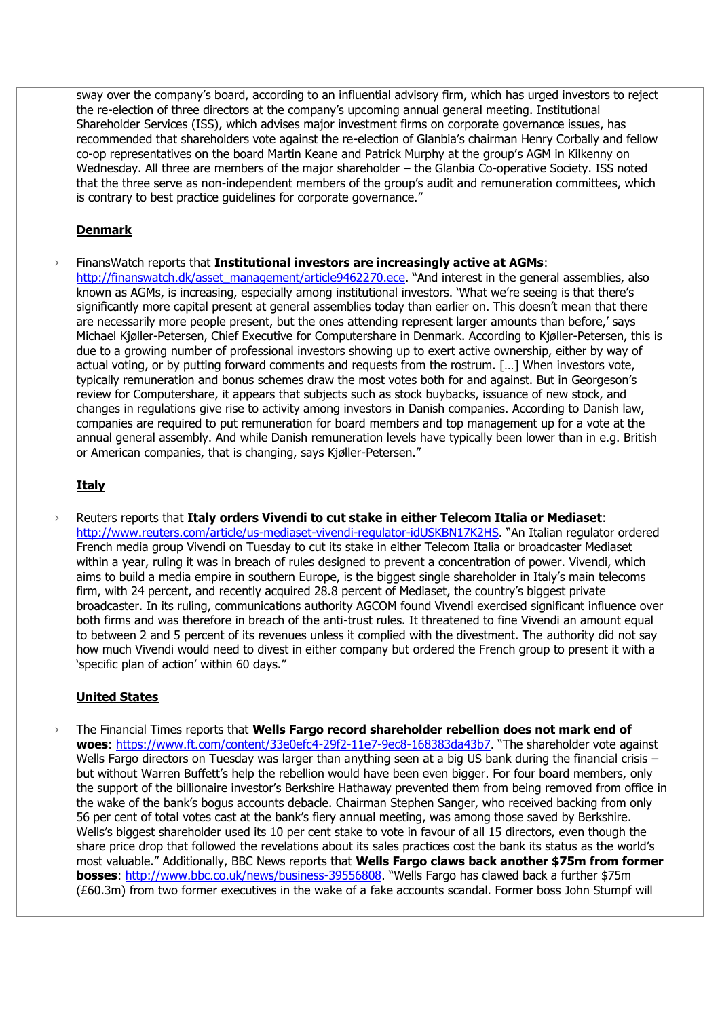sway over the company's board, according to an influential advisory firm, which has urged investors to reject the re-election of three directors at the company's upcoming annual general meeting. Institutional Shareholder Services (ISS), which advises major investment firms on corporate governance issues, has recommended that shareholders vote against the re-election of Glanbia's chairman Henry Corbally and fellow co-op representatives on the board Martin Keane and Patrick Murphy at the group's AGM in Kilkenny on Wednesday. All three are members of the major shareholder – the Glanbia Co-operative Society. ISS noted that the three serve as non-independent members of the group's audit and remuneration committees, which is contrary to best practice guidelines for corporate governance."

## **Denmark**

› FinansWatch reports that **Institutional investors are increasingly active at AGMs**: [http://finanswatch.dk/asset\\_management/article9462270.ece](http://finanswatch.dk/asset_management/article9462270.ece). "And interest in the general assemblies, also known as AGMs, is increasing, especially among institutional investors. 'What we're seeing is that there's significantly more capital present at general assemblies today than earlier on. This doesn't mean that there are necessarily more people present, but the ones attending represent larger amounts than before,' says Michael Kjøller-Petersen, Chief Executive for Computershare in Denmark. According to Kjøller-Petersen, this is due to a growing number of professional investors showing up to exert active ownership, either by way of actual voting, or by putting forward comments and requests from the rostrum. […] When investors vote, typically remuneration and bonus schemes draw the most votes both for and against. But in Georgeson's review for Computershare, it appears that subjects such as stock buybacks, issuance of new stock, and changes in regulations give rise to activity among investors in Danish companies. According to Danish law, companies are required to put remuneration for board members and top management up for a vote at the annual general assembly. And while Danish remuneration levels have typically been lower than in e.g. British or American companies, that is changing, says Kjøller-Petersen."

## **Italy**

› Reuters reports that **Italy orders Vivendi to cut stake in either Telecom Italia or Mediaset**: <http://www.reuters.com/article/us-mediaset-vivendi-regulator-idUSKBN17K2HS>. "An Italian regulator ordered French media group Vivendi on Tuesday to cut its stake in either Telecom Italia or broadcaster Mediaset within a year, ruling it was in breach of rules designed to prevent a concentration of power. Vivendi, which aims to build a media empire in southern Europe, is the biggest single shareholder in Italy's main telecoms firm, with 24 percent, and recently acquired 28.8 percent of Mediaset, the country's biggest private broadcaster. In its ruling, communications authority AGCOM found Vivendi exercised significant influence over both firms and was therefore in breach of the anti-trust rules. It threatened to fine Vivendi an amount equal to between 2 and 5 percent of its revenues unless it complied with the divestment. The authority did not say how much Vivendi would need to divest in either company but ordered the French group to present it with a 'specific plan of action' within 60 days."

# **United States**

› The Financial Times reports that **Wells Fargo record shareholder rebellion does not mark end of woes**:<https://www.ft.com/content/33e0efc4-29f2-11e7-9ec8-168383da43b7>. "The shareholder vote against Wells Fargo directors on Tuesday was larger than anything seen at a big US bank during the financial crisis but without Warren Buffett's help the rebellion would have been even bigger. For four board members, only the support of the billionaire investor's Berkshire Hathaway prevented them from being removed from office in the wake of the bank's bogus accounts debacle. Chairman Stephen Sanger, who received backing from only 56 per cent of total votes cast at the bank's fiery annual meeting, was among those saved by Berkshire. Wells's biggest shareholder used its 10 per cent stake to vote in favour of all 15 directors, even though the share price drop that followed the revelations about its sales practices cost the bank its status as the world's most valuable." Additionally, BBC News reports that **Wells Fargo claws back another \$75m from former bosses**:<http://www.bbc.co.uk/news/business-39556808>. "Wells Fargo has clawed back a further \$75m (£60.3m) from two former executives in the wake of a fake accounts scandal. Former boss John Stumpf will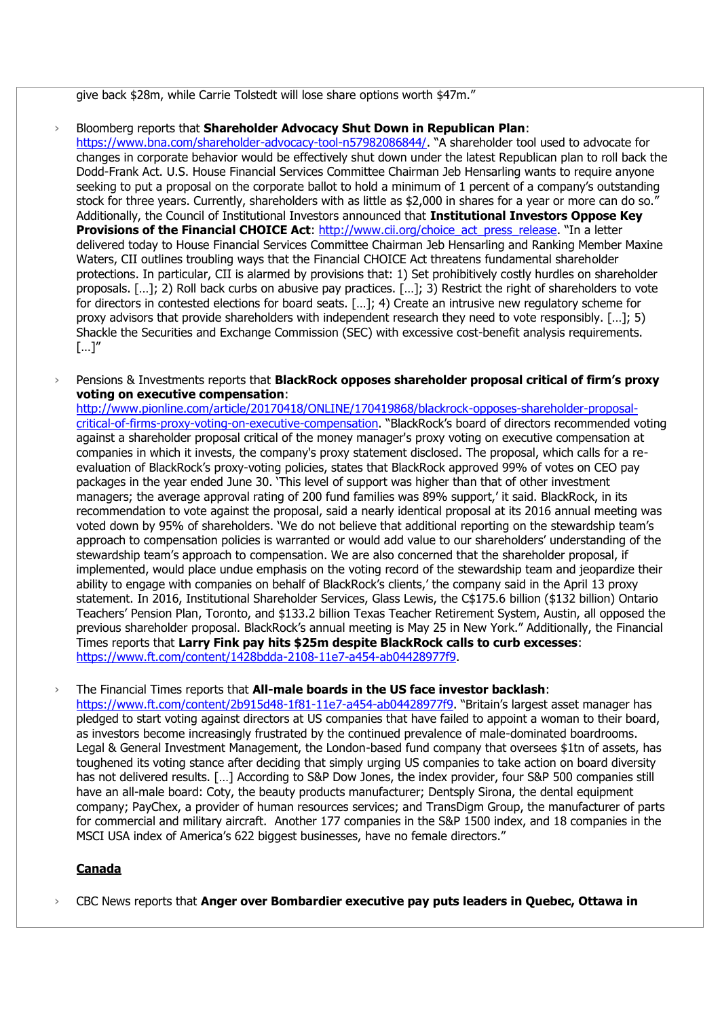give back \$28m, while Carrie Tolstedt will lose share options worth \$47m."

› Bloomberg reports that **Shareholder Advocacy Shut Down in Republican Plan**: <https://www.bna.com/shareholder-advocacy-tool-n57982086844/>. "A shareholder tool used to advocate for changes in corporate behavior would be effectively shut down under the latest Republican plan to roll back the Dodd-Frank Act. U.S. House Financial Services Committee Chairman Jeb Hensarling wants to require anyone seeking to put a proposal on the corporate ballot to hold a minimum of 1 percent of a company's outstanding stock for three years. Currently, shareholders with as little as \$2,000 in shares for a year or more can do so." Additionally, the Council of Institutional Investors announced that **Institutional Investors Oppose Key Provisions of the Financial CHOICE Act:** [http://www.cii.org/choice\\_act\\_press\\_release](http://www.cii.org/choice_act_press_release). "In a letter delivered today to House Financial Services Committee Chairman Jeb Hensarling and Ranking Member Maxine Waters, CII outlines troubling ways that the Financial CHOICE Act threatens fundamental shareholder protections. In particular, CII is alarmed by provisions that: 1) Set prohibitively costly hurdles on shareholder proposals. […]; 2) Roll back curbs on abusive pay practices. […]; 3) Restrict the right of shareholders to vote for directors in contested elections for board seats. […]; 4) Create an intrusive new regulatory scheme for proxy advisors that provide shareholders with independent research they need to vote responsibly. […]; 5) Shackle the Securities and Exchange Commission (SEC) with excessive cost-benefit analysis requirements. […]"

› Pensions & Investments reports that **BlackRock opposes shareholder proposal critical of firm's proxy voting on executive compensation**:

[http://www.pionline.com/article/20170418/ONLINE/170419868/blackrock-opposes-shareholder-proposal](http://www.pionline.com/article/20170418/ONLINE/170419868/blackrock-opposes-shareholder-proposal-critical-of-firms-proxy-voting-on-executive-compensation)[critical-of-firms-proxy-voting-on-executive-compensation.](http://www.pionline.com/article/20170418/ONLINE/170419868/blackrock-opposes-shareholder-proposal-critical-of-firms-proxy-voting-on-executive-compensation) "BlackRock's board of directors recommended voting against a shareholder proposal critical of the money manager's proxy voting on executive compensation at companies in which it invests, the company's proxy statement disclosed. The proposal, which calls for a reevaluation of BlackRock's proxy-voting policies, states that BlackRock approved 99% of votes on CEO pay packages in the year ended June 30. 'This level of support was higher than that of other investment managers; the average approval rating of 200 fund families was 89% support,' it said. BlackRock, in its recommendation to vote against the proposal, said a nearly identical proposal at its 2016 annual meeting was voted down by 95% of shareholders. 'We do not believe that additional reporting on the stewardship team's approach to compensation policies is warranted or would add value to our shareholders' understanding of the stewardship team's approach to compensation. We are also concerned that the shareholder proposal, if implemented, would place undue emphasis on the voting record of the stewardship team and jeopardize their ability to engage with companies on behalf of BlackRock's clients,' the company said in the April 13 proxy statement. In 2016, Institutional Shareholder Services, Glass Lewis, the C\$175.6 billion (\$132 billion) Ontario Teachers' Pension Plan, Toronto, and \$133.2 billion Texas Teacher Retirement System, Austin, all opposed the previous shareholder proposal. BlackRock's annual meeting is May 25 in New York." Additionally, the Financial Times reports that **Larry Fink pay hits \$25m despite BlackRock calls to curb excesses**: [https://www.ft.com/content/1428bdda-2108-11e7-a454-ab04428977f9.](https://www.ft.com/content/1428bdda-2108-11e7-a454-ab04428977f9)

› The Financial Times reports that **All-male boards in the US face investor backlash**:

<https://www.ft.com/content/2b915d48-1f81-11e7-a454-ab04428977f9>. "Britain's largest asset manager has pledged to start voting against directors at US companies that have failed to appoint a woman to their board, as investors become increasingly frustrated by the continued prevalence of male-dominated boardrooms. Legal & General Investment Management, the London-based fund company that oversees \$1tn of assets, has toughened its voting stance after deciding that simply urging US companies to take action on board diversity has not delivered results. […] According to S&P Dow Jones, the index provider, four S&P 500 companies still have an all-male board: Coty, the beauty products manufacturer; Dentsply Sirona, the dental equipment company; PayChex, a provider of human resources services; and TransDigm Group, the manufacturer of parts for commercial and military aircraft. Another 177 companies in the S&P 1500 index, and 18 companies in the MSCI USA index of America's 622 biggest businesses, have no female directors."

## **Canada**

› CBC News reports that **Anger over Bombardier executive pay puts leaders in Quebec, Ottawa in**